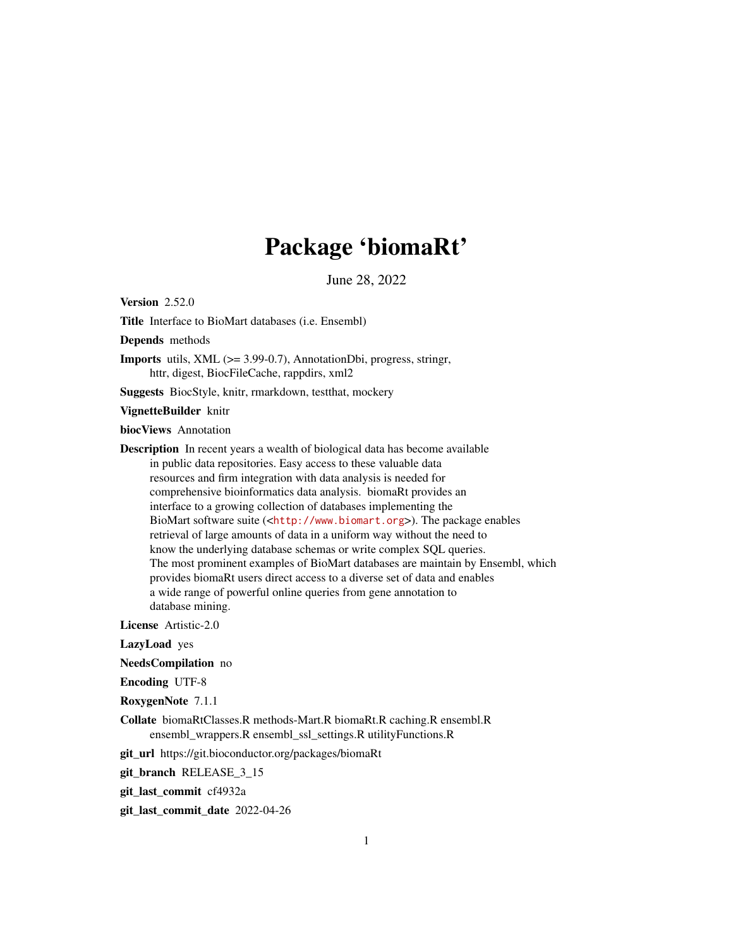# Package 'biomaRt'

June 28, 2022

<span id="page-0-0"></span>Version 2.52.0

Title Interface to BioMart databases (i.e. Ensembl)

Depends methods

Imports utils, XML (>= 3.99-0.7), AnnotationDbi, progress, stringr, httr, digest, BiocFileCache, rappdirs, xml2

Suggests BiocStyle, knitr, rmarkdown, testthat, mockery

#### VignetteBuilder knitr

biocViews Annotation

Description In recent years a wealth of biological data has become available in public data repositories. Easy access to these valuable data resources and firm integration with data analysis is needed for comprehensive bioinformatics data analysis. biomaRt provides an interface to a growing collection of databases implementing the BioMart software suite (<<http://www.biomart.org>>). The package enables retrieval of large amounts of data in a uniform way without the need to know the underlying database schemas or write complex SQL queries. The most prominent examples of BioMart databases are maintain by Ensembl, which provides biomaRt users direct access to a diverse set of data and enables a wide range of powerful online queries from gene annotation to database mining.

License Artistic-2.0

LazyLoad yes

NeedsCompilation no

Encoding UTF-8

RoxygenNote 7.1.1

Collate biomaRtClasses.R methods-Mart.R biomaRt.R caching.R ensembl.R ensembl\_wrappers.R ensembl\_ssl\_settings.R utilityFunctions.R

git\_url https://git.bioconductor.org/packages/biomaRt

git\_branch RELEASE\_3\_15

git\_last\_commit cf4932a

git\_last\_commit\_date 2022-04-26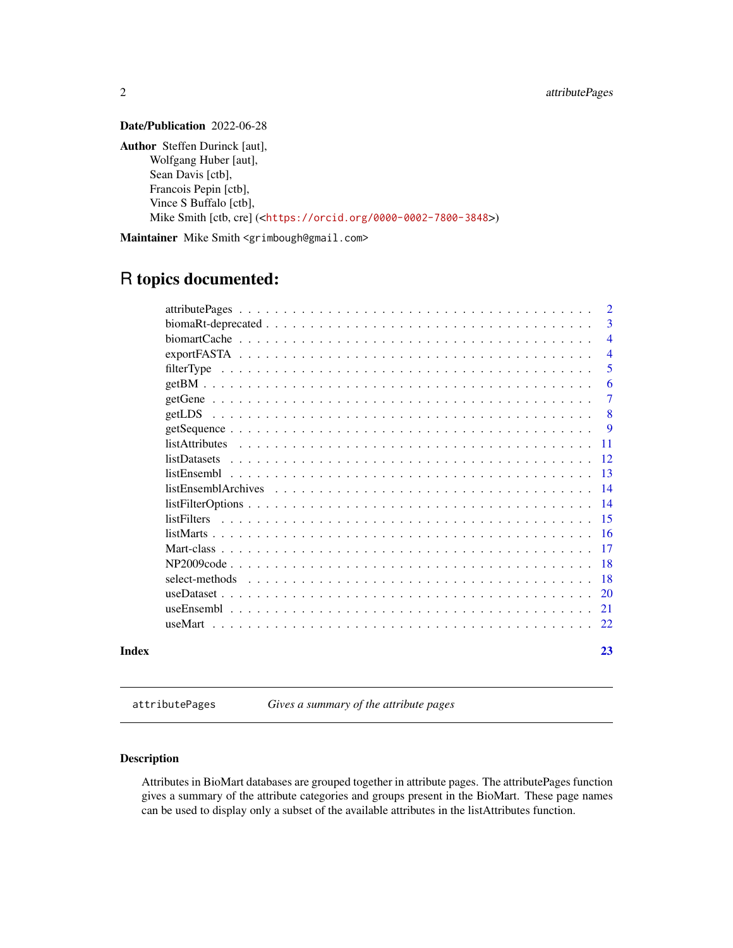# <span id="page-1-0"></span>Date/Publication 2022-06-28

Author Steffen Durinck [aut], Wolfgang Huber [aut], Sean Davis [ctb], Francois Pepin [ctb], Vince S Buffalo [ctb], Mike Smith [ctb, cre] (<<https://orcid.org/0000-0002-7800-3848>>)

Maintainer Mike Smith <grimbough@gmail.com>

# R topics documented:

|       |                                                                                                                     | 2               |
|-------|---------------------------------------------------------------------------------------------------------------------|-----------------|
|       |                                                                                                                     | 3               |
|       |                                                                                                                     | $\overline{4}$  |
|       |                                                                                                                     | $\overline{4}$  |
|       |                                                                                                                     | 5               |
|       |                                                                                                                     | 6               |
|       |                                                                                                                     | 7               |
|       |                                                                                                                     | 8               |
|       |                                                                                                                     | <b>9</b>        |
|       |                                                                                                                     | -11             |
|       | listDatasets                                                                                                        | <sup>12</sup>   |
|       |                                                                                                                     | $\overline{13}$ |
|       |                                                                                                                     | $\overline{14}$ |
|       | $listFilterOptions \dots \dots \dots \dots \dots \dots \dots \dots \dots \dots \dots \dots \dots \dots \dots \dots$ | -14             |
|       | listFilters                                                                                                         | -15             |
|       |                                                                                                                     | -16             |
|       |                                                                                                                     | -17             |
|       |                                                                                                                     | -18             |
|       |                                                                                                                     | -18             |
|       |                                                                                                                     | <sup>20</sup>   |
|       |                                                                                                                     | 21              |
|       |                                                                                                                     | 22.             |
| Index |                                                                                                                     | 23              |

attributePages *Gives a summary of the attribute pages*

#### Description

Attributes in BioMart databases are grouped together in attribute pages. The attributePages function gives a summary of the attribute categories and groups present in the BioMart. These page names can be used to display only a subset of the available attributes in the listAttributes function.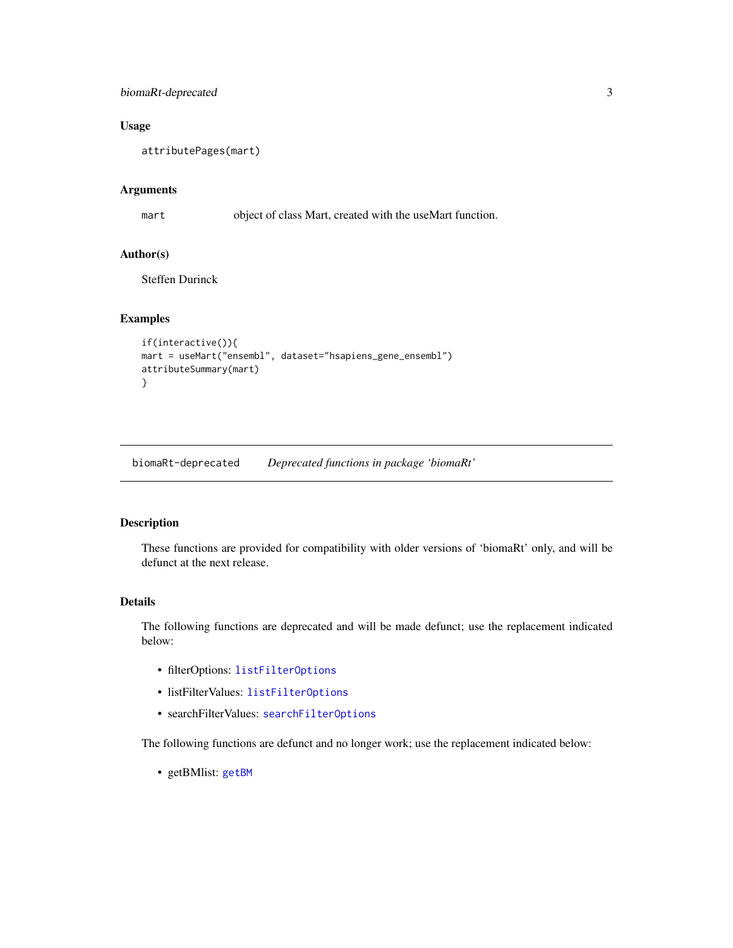# <span id="page-2-0"></span>biomaRt-deprecated 3

# Usage

attributePages(mart)

# Arguments

mart object of class Mart, created with the useMart function.

#### Author(s)

Steffen Durinck

#### Examples

```
if(interactive()){
mart = useMart("ensembl", dataset="hsapiens_gene_ensembl")
attributeSummary(mart)
}
```
biomaRt-deprecated *Deprecated functions in package 'biomaRt'*

#### Description

These functions are provided for compatibility with older versions of 'biomaRt' only, and will be defunct at the next release.

#### Details

The following functions are deprecated and will be made defunct; use the replacement indicated below:

- filterOptions: [listFilterOptions](#page-13-1)
- listFilterValues: [listFilterOptions](#page-13-1)
- searchFilterValues: [searchFilterOptions](#page-13-2)

The following functions are defunct and no longer work; use the replacement indicated below:

• getBMlist: [getBM](#page-5-1)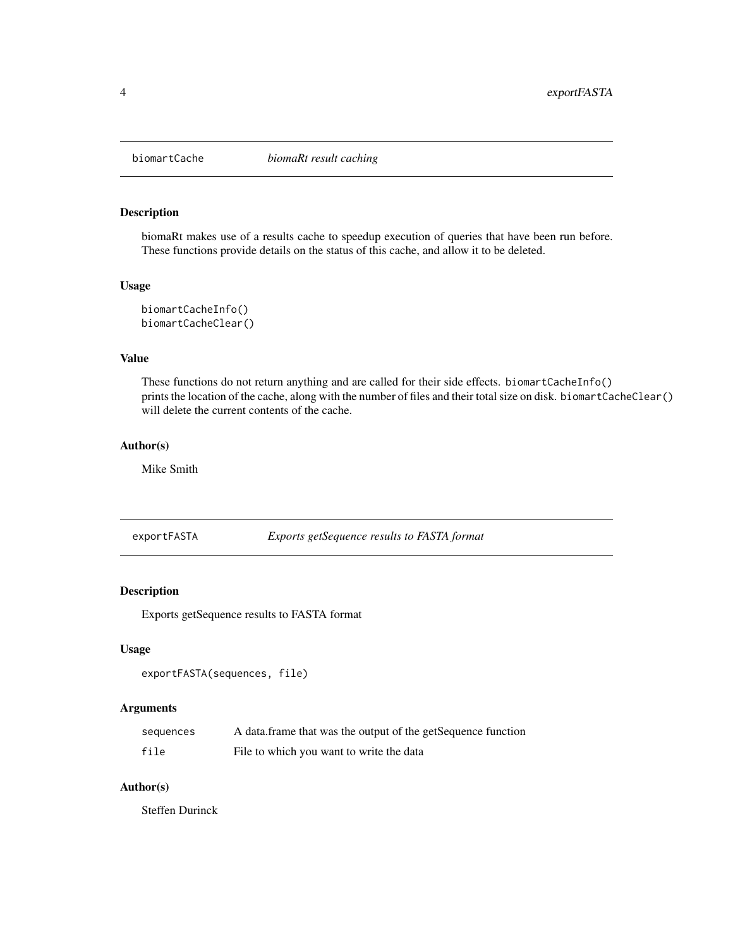<span id="page-3-0"></span>

#### Description

biomaRt makes use of a results cache to speedup execution of queries that have been run before. These functions provide details on the status of this cache, and allow it to be deleted.

#### Usage

biomartCacheInfo() biomartCacheClear()

# Value

These functions do not return anything and are called for their side effects. biomartCacheInfo() prints the location of the cache, along with the number of files and their total size on disk. biomartCacheClear() will delete the current contents of the cache.

#### Author(s)

Mike Smith

exportFASTA *Exports getSequence results to FASTA format*

# Description

Exports getSequence results to FASTA format

#### Usage

```
exportFASTA(sequences, file)
```
# Arguments

| sequences | A data frame that was the output of the getSequence function |
|-----------|--------------------------------------------------------------|
| file      | File to which you want to write the data                     |

#### Author(s)

Steffen Durinck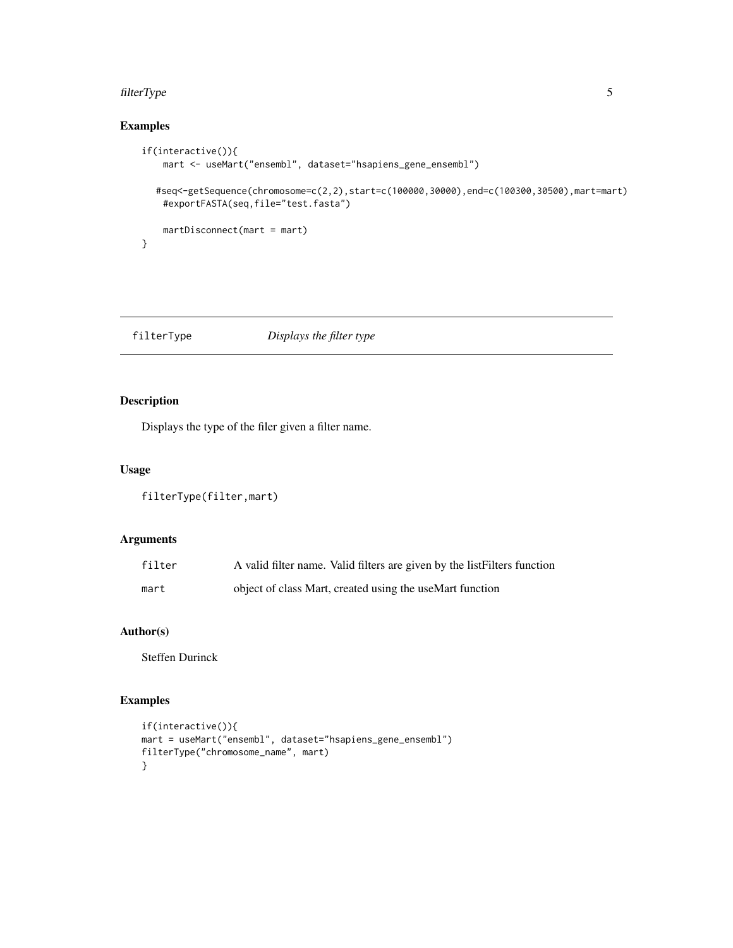#### <span id="page-4-0"></span>filterType 5

# Examples

```
if(interactive()){
   mart <- useMart("ensembl", dataset="hsapiens_gene_ensembl")
  #seq<-getSequence(chromosome=c(2,2),start=c(100000,30000),end=c(100300,30500),mart=mart)
   #exportFASTA(seq,file="test.fasta")
   martDisconnect(mart = mart)
}
```
# filterType *Displays the filter type*

# Description

Displays the type of the filer given a filter name.

#### Usage

```
filterType(filter,mart)
```
# Arguments

| filter | A valid filter name. Valid filters are given by the list Filters function |
|--------|---------------------------------------------------------------------------|
| mart   | object of class Mart, created using the useMart function                  |

# Author(s)

Steffen Durinck

```
if(interactive()){
mart = useMart("ensembl", dataset="hsapiens_gene_ensembl")
filterType("chromosome_name", mart)
}
```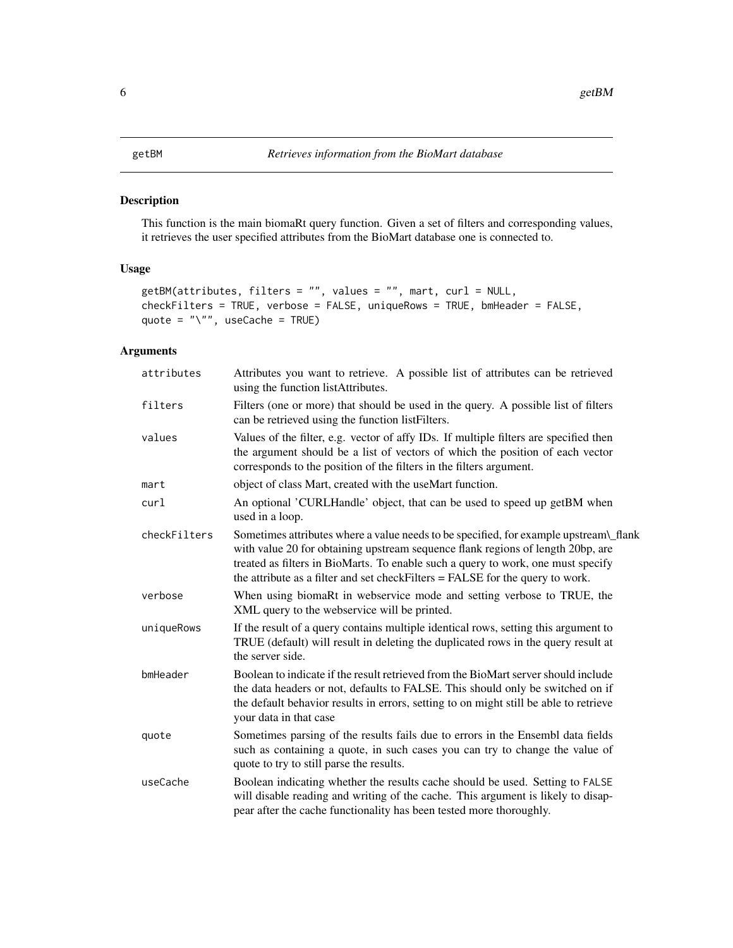# <span id="page-5-1"></span><span id="page-5-0"></span>Description

This function is the main biomaRt query function. Given a set of filters and corresponding values, it retrieves the user specified attributes from the BioMart database one is connected to.

# Usage

```
getBM(attributes, filters = "", values = "", mart, curl = NULL,
checkFilters = TRUE, verbose = FALSE, uniqueRows = TRUE, bmHeader = FALSE,
quote = "\", useCache = TRUE)
```

| attributes   | Attributes you want to retrieve. A possible list of attributes can be retrieved<br>using the function listAttributes.                                                                                                                                                                                                                         |
|--------------|-----------------------------------------------------------------------------------------------------------------------------------------------------------------------------------------------------------------------------------------------------------------------------------------------------------------------------------------------|
| filters      | Filters (one or more) that should be used in the query. A possible list of filters<br>can be retrieved using the function list Filters.                                                                                                                                                                                                       |
| values       | Values of the filter, e.g. vector of affy IDs. If multiple filters are specified then<br>the argument should be a list of vectors of which the position of each vector<br>corresponds to the position of the filters in the filters argument.                                                                                                 |
| mart         | object of class Mart, created with the useMart function.                                                                                                                                                                                                                                                                                      |
| curl         | An optional 'CURLHandle' object, that can be used to speed up getBM when<br>used in a loop.                                                                                                                                                                                                                                                   |
| checkFilters | Sometimes attributes where a value needs to be specified, for example upstream\_flank<br>with value 20 for obtaining upstream sequence flank regions of length 20bp, are<br>treated as filters in BioMarts. To enable such a query to work, one must specify<br>the attribute as a filter and set checkFilters = FALSE for the query to work. |
| verbose      | When using biomaRt in webservice mode and setting verbose to TRUE, the<br>XML query to the webservice will be printed.                                                                                                                                                                                                                        |
| uniqueRows   | If the result of a query contains multiple identical rows, setting this argument to<br>TRUE (default) will result in deleting the duplicated rows in the query result at<br>the server side.                                                                                                                                                  |
| bmHeader     | Boolean to indicate if the result retrieved from the BioMart server should include<br>the data headers or not, defaults to FALSE. This should only be switched on if<br>the default behavior results in errors, setting to on might still be able to retrieve<br>your data in that case                                                       |
| quote        | Sometimes parsing of the results fails due to errors in the Ensembl data fields<br>such as containing a quote, in such cases you can try to change the value of<br>quote to try to still parse the results.                                                                                                                                   |
| useCache     | Boolean indicating whether the results cache should be used. Setting to FALSE<br>will disable reading and writing of the cache. This argument is likely to disap-<br>pear after the cache functionality has been tested more thoroughly.                                                                                                      |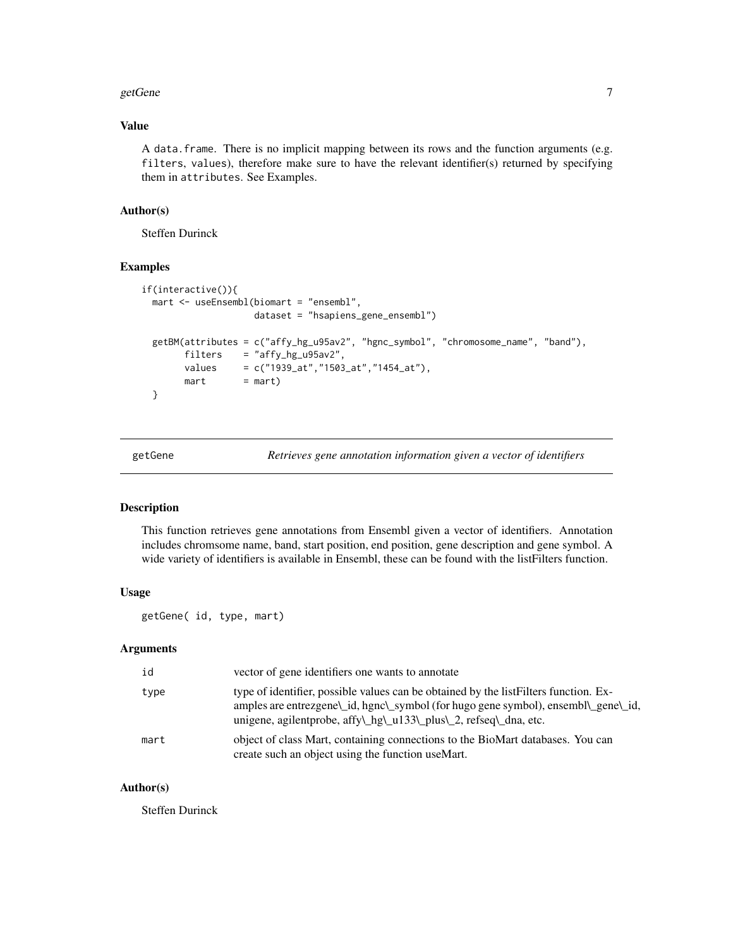#### <span id="page-6-0"></span>getGene 2008 and 2008 and 2008 and 2008 and 2008 and 2008 and 2008 and 2008 and 2008 and 2008 and 2008 and 200

# Value

A data.frame. There is no implicit mapping between its rows and the function arguments (e.g. filters, values), therefore make sure to have the relevant identifier(s) returned by specifying them in attributes. See Examples.

#### Author(s)

Steffen Durinck

#### Examples

```
if(interactive()){
 mart <- useEnsembl(biomart = "ensembl",
                   dataset = "hsapiens_gene_ensembl")
 getBM(attributes = c("affy_hg_u95av2", "hgnc_symbol", "chromosome_name", "band"),
       filters = "affy_hg_u95av2",
       values = c("1939_at","1503_at","1454_at"),
       mart = mart)}
```
getGene *Retrieves gene annotation information given a vector of identifiers*

#### Description

This function retrieves gene annotations from Ensembl given a vector of identifiers. Annotation includes chromsome name, band, start position, end position, gene description and gene symbol. A wide variety of identifiers is available in Ensembl, these can be found with the listFilters function.

# Usage

getGene( id, type, mart)

#### Arguments

| id   | vector of gene identifiers one wants to annotate                                                                                                                                                                                                 |
|------|--------------------------------------------------------------------------------------------------------------------------------------------------------------------------------------------------------------------------------------------------|
| type | type of identifier, possible values can be obtained by the list Filters function. Ex-<br>amples are entrezgene\_id, hgnc\_symbol (for hugo gene symbol), ensembl\_gene\_id,<br>unigene, agilentprobe, affy\_hg\_u133\_plus\_2, refseq\_dna, etc. |
| mart | object of class Mart, containing connections to the BioMart databases. You can<br>create such an object using the function useMart.                                                                                                              |

#### Author(s)

Steffen Durinck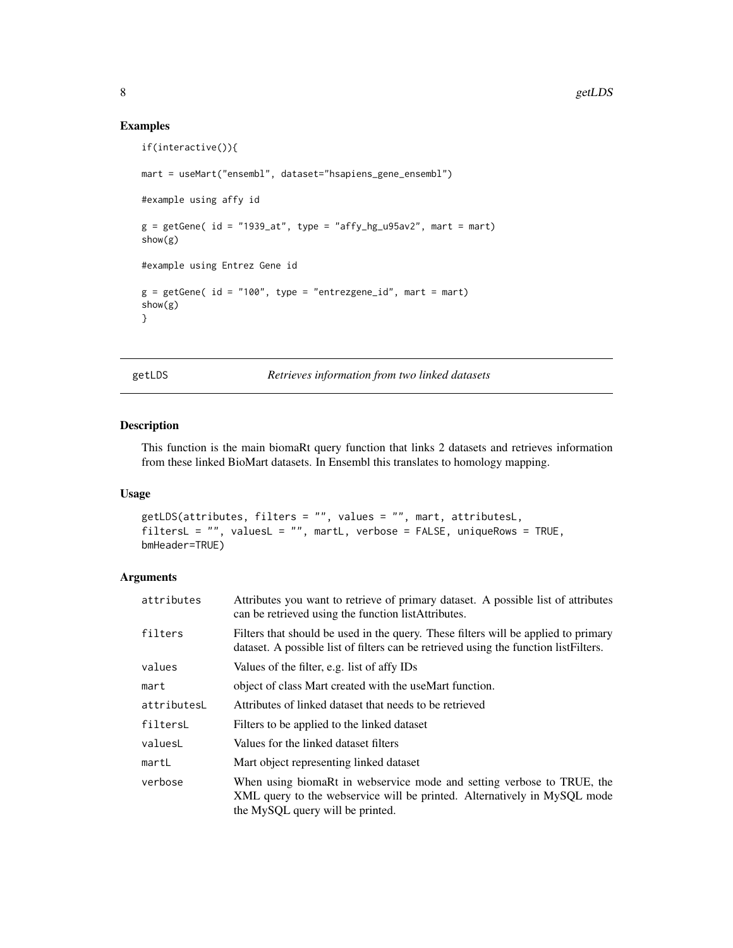# Examples

```
if(interactive()){
mart = useMart("ensembl", dataset="hsapiens_gene_ensembl")
#example using affy id
g = getGene( id = "1939_at", type = "affy_hg_u95av2", mart = mart)show(g)
#example using Entrez Gene id
g = getGene( id = "100", type = "entregene_id", mart = mart)show(g)
}
```
getLDS *Retrieves information from two linked datasets*

# Description

This function is the main biomaRt query function that links 2 datasets and retrieves information from these linked BioMart datasets. In Ensembl this translates to homology mapping.

## Usage

```
getLDS(attributes, filters = "", values = "", mart, attributesL,
filtersL = "", valuesL = "", martL, verbose = FALSE, uniqueRows = TRUE,
bmHeader=TRUE)
```

| attributes  | Attributes you want to retrieve of primary dataset. A possible list of attributes<br>can be retrieved using the function list Attributes.                                              |
|-------------|----------------------------------------------------------------------------------------------------------------------------------------------------------------------------------------|
| filters     | Filters that should be used in the query. These filters will be applied to primary<br>dataset. A possible list of filters can be retrieved using the function listFilters.             |
| values      | Values of the filter, e.g. list of affy IDs                                                                                                                                            |
| mart        | object of class Mart created with the useMart function.                                                                                                                                |
| attributesL | Attributes of linked dataset that needs to be retrieved                                                                                                                                |
| filtersL    | Filters to be applied to the linked dataset                                                                                                                                            |
| valuesL     | Values for the linked dataset filters                                                                                                                                                  |
| martL       | Mart object representing linked dataset                                                                                                                                                |
| verbose     | When using biomaRt in webservice mode and setting verbose to TRUE, the<br>XML query to the webservice will be printed. Alternatively in MySQL mode<br>the MySQL query will be printed. |

<span id="page-7-0"></span>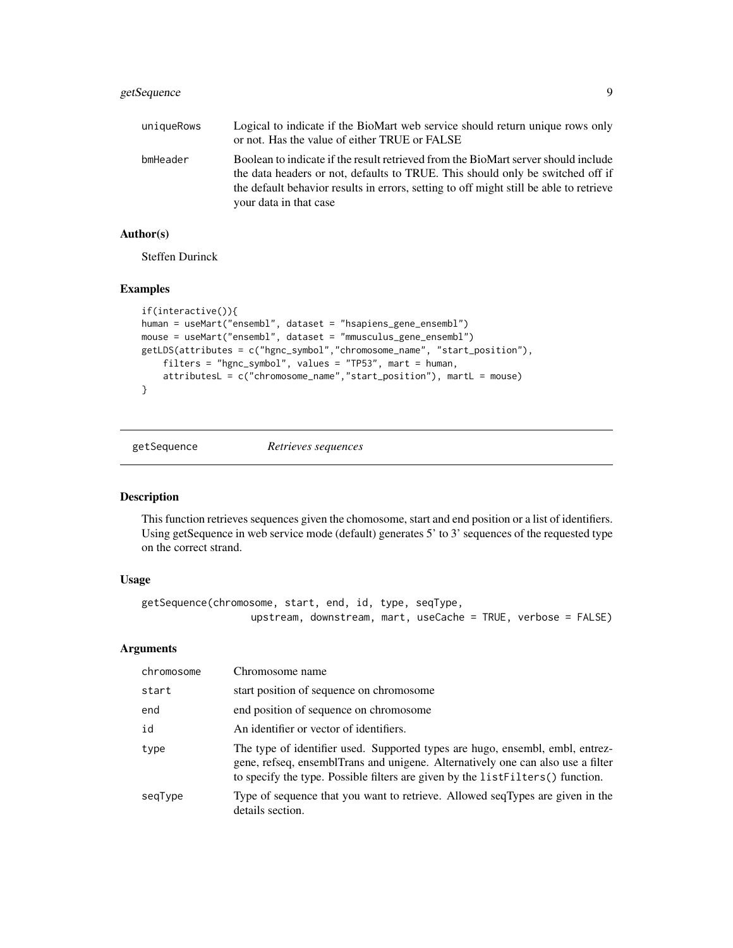# <span id="page-8-0"></span>getSequence 9

| uniqueRows | Logical to indicate if the BioMart web service should return unique rows only<br>or not. Has the value of either TRUE or FALSE                                                                                                                                                           |
|------------|------------------------------------------------------------------------------------------------------------------------------------------------------------------------------------------------------------------------------------------------------------------------------------------|
| bmHeader   | Boolean to indicate if the result retrieved from the BioMart server should include<br>the data headers or not, defaults to TRUE. This should only be switched off if<br>the default behavior results in errors, setting to off might still be able to retrieve<br>your data in that case |

# Author(s)

Steffen Durinck

#### Examples

```
if(interactive()){
human = useMart("ensembl", dataset = "hsapiens_gene_ensembl")
mouse = useMart("ensembl", dataset = "mmusculus_gene_ensembl")
getLDS(attributes = c("hgnc_symbol","chromosome_name", "start_position"),
    filters = "hgnc_symbol", values = "TP53", mart = human,
    attributesL = c("chromosome_name","start_position"), martL = mouse)
}
```
getSequence *Retrieves sequences*

#### Description

This function retrieves sequences given the chomosome, start and end position or a list of identifiers. Using getSequence in web service mode (default) generates 5' to 3' sequences of the requested type on the correct strand.

# Usage

```
getSequence(chromosome, start, end, id, type, seqType,
                  upstream, downstream, mart, useCache = TRUE, verbose = FALSE)
```

| chromosome | Chromosome name                                                                                                                                                                                                                                      |
|------------|------------------------------------------------------------------------------------------------------------------------------------------------------------------------------------------------------------------------------------------------------|
| start      | start position of sequence on chromosome                                                                                                                                                                                                             |
| end        | end position of sequence on chromosome                                                                                                                                                                                                               |
| id         | An identifier or vector of identifiers.                                                                                                                                                                                                              |
| type       | The type of identifier used. Supported types are hugo, ensembl, embl, entrez-<br>gene, refseq, ensemblTrans and unigene. Alternatively one can also use a filter<br>to specify the type. Possible filters are given by the list Filters () function. |
| seqType    | Type of sequence that you want to retrieve. Allowed seqTypes are given in the<br>details section.                                                                                                                                                    |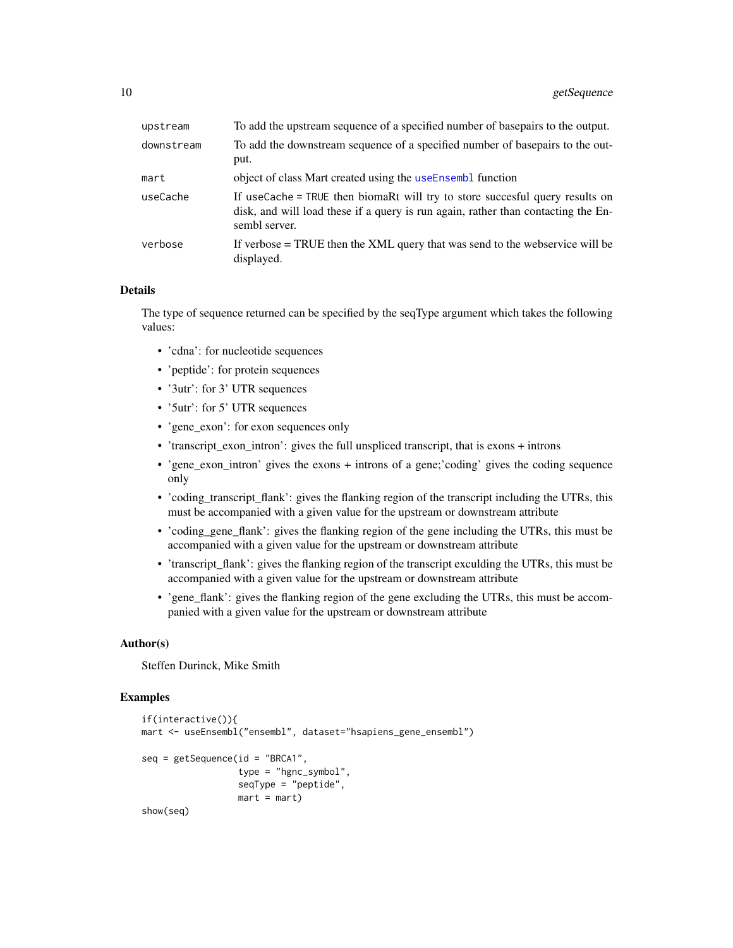<span id="page-9-0"></span>

| upstream   | To add the upstream sequence of a specified number of basepairs to the output.                                                                                                     |
|------------|------------------------------------------------------------------------------------------------------------------------------------------------------------------------------------|
| downstream | To add the downstream sequence of a specified number of basepairs to the out-<br>put.                                                                                              |
| mart       | object of class Mart created using the useEnsembl function                                                                                                                         |
| useCache   | If useCache = TRUE then biomaRt will try to store succesful query results on<br>disk, and will load these if a query is run again, rather than contacting the En-<br>sembl server. |
| verbose    | If verbose $=$ TRUE then the XML query that was send to the webservice will be<br>displayed.                                                                                       |

#### Details

The type of sequence returned can be specified by the seqType argument which takes the following values:

- 'cdna': for nucleotide sequences
- 'peptide': for protein sequences
- '3utr': for 3' UTR sequences
- '5utr': for 5' UTR sequences
- 'gene\_exon': for exon sequences only
- 'transcript\_exon\_intron': gives the full unspliced transcript, that is exons + introns
- 'gene\_exon\_intron' gives the exons + introns of a gene;'coding' gives the coding sequence only
- 'coding\_transcript\_flank': gives the flanking region of the transcript including the UTRs, this must be accompanied with a given value for the upstream or downstream attribute
- 'coding\_gene\_flank': gives the flanking region of the gene including the UTRs, this must be accompanied with a given value for the upstream or downstream attribute
- 'transcript\_flank': gives the flanking region of the transcript exculding the UTRs, this must be accompanied with a given value for the upstream or downstream attribute
- 'gene\_flank': gives the flanking region of the gene excluding the UTRs, this must be accompanied with a given value for the upstream or downstream attribute

#### Author(s)

Steffen Durinck, Mike Smith

```
if(interactive()){
mart <- useEnsembl("ensembl", dataset="hsapiens_gene_ensembl")
seq = getSequence(id = "BRCA1",type = "hgnc_symbol",
                  seqType = "peptide",
                  mart = mart)show(seq)
```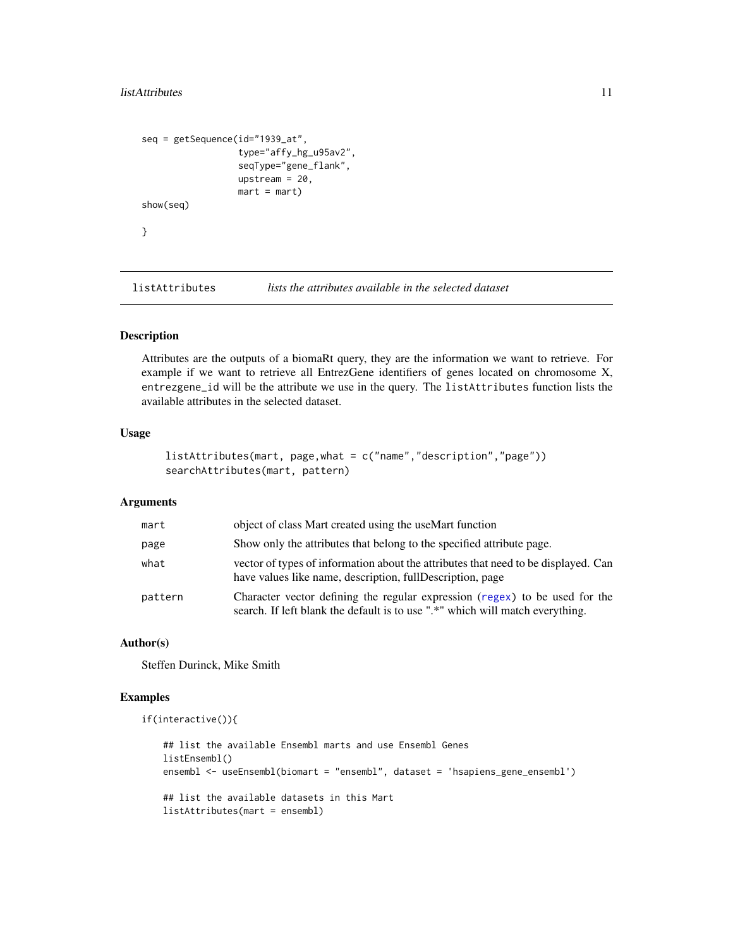#### <span id="page-10-0"></span>listAttributes 11

```
seq = getSequence(id="1939_at",
                  type="affy_hg_u95av2",
                  seqType="gene_flank",
                  upstream = 20,
                  mart = mart)show(seq)
}
```
listAttributes *lists the attributes available in the selected dataset*

# Description

Attributes are the outputs of a biomaRt query, they are the information we want to retrieve. For example if we want to retrieve all EntrezGene identifiers of genes located on chromosome X, entrezgene\_id will be the attribute we use in the query. The listAttributes function lists the available attributes in the selected dataset.

# Usage

```
listAttributes(mart, page,what = c("name","description","page"))
searchAttributes(mart, pattern)
```
# Arguments

| mart    | object of class Mart created using the useMart function                                                                                                      |
|---------|--------------------------------------------------------------------------------------------------------------------------------------------------------------|
| page    | Show only the attributes that belong to the specified attribute page.                                                                                        |
| what    | vector of types of information about the attributes that need to be displayed. Can<br>have values like name, description, fullDescription, page              |
| pattern | Character vector defining the regular expression (regex) to be used for the<br>search. If left blank the default is to use ".*" which will match everything. |

# Author(s)

Steffen Durinck, Mike Smith

```
if(interactive()){
```

```
## list the available Ensembl marts and use Ensembl Genes
listEnsembl()
ensembl <- useEnsembl(biomart = "ensembl", dataset = 'hsapiens_gene_ensembl')
## list the available datasets in this Mart
listAttributes(mart = ensembl)
```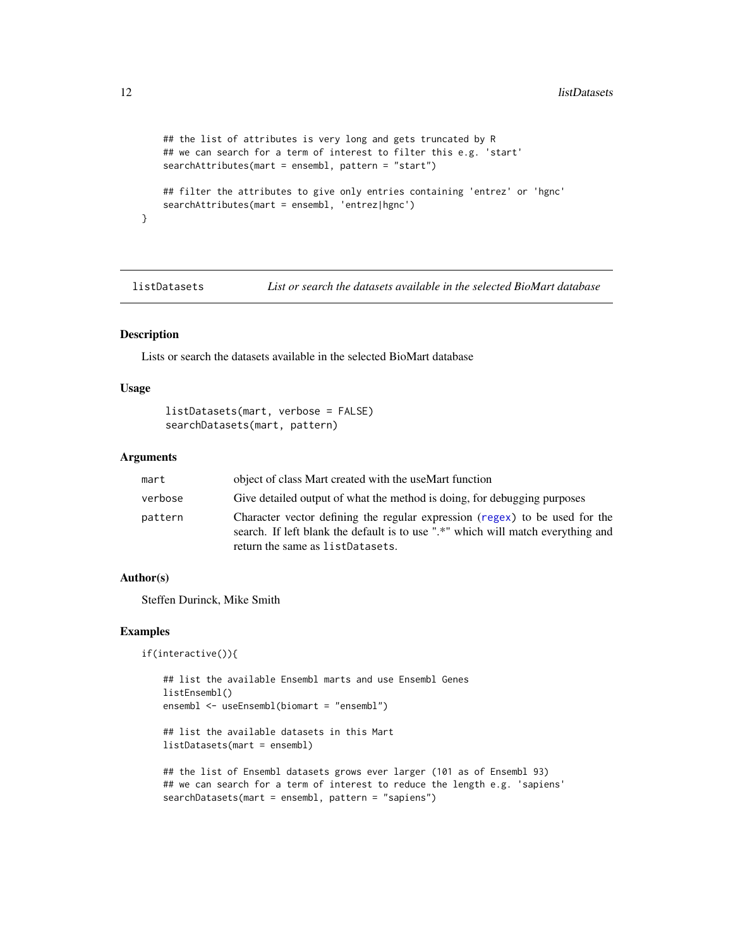```
## the list of attributes is very long and gets truncated by R
## we can search for a term of interest to filter this e.g. 'start'
searchAttributes(mart = ensembl, pattern = "start")
## filter the attributes to give only entries containing 'entrez' or 'hgnc'
searchAttributes(mart = ensembl, 'entrez|hgnc')
```
<span id="page-11-1"></span>listDatasets *List or search the datasets available in the selected BioMart database*

# Description

}

Lists or search the datasets available in the selected BioMart database

#### Usage

```
listDatasets(mart, verbose = FALSE)
searchDatasets(mart, pattern)
```
#### **Arguments**

| mart    | object of class Mart created with the useMart function                                                                                                                                              |
|---------|-----------------------------------------------------------------------------------------------------------------------------------------------------------------------------------------------------|
| verbose | Give detailed output of what the method is doing, for debugging purposes                                                                                                                            |
| pattern | Character vector defining the regular expression (regex) to be used for the<br>search. If left blank the default is to use ".*" which will match everything and<br>return the same as listDatasets. |

#### Author(s)

Steffen Durinck, Mike Smith

```
if(interactive()){
```

```
## list the available Ensembl marts and use Ensembl Genes
listEnsembl()
ensembl <- useEnsembl(biomart = "ensembl")
## list the available datasets in this Mart
```

```
listDatasets(mart = ensembl)
```

```
## the list of Ensembl datasets grows ever larger (101 as of Ensembl 93)
## we can search for a term of interest to reduce the length e.g. 'sapiens'
searchDatasets(mart = ensembl, pattern = "sapiens")
```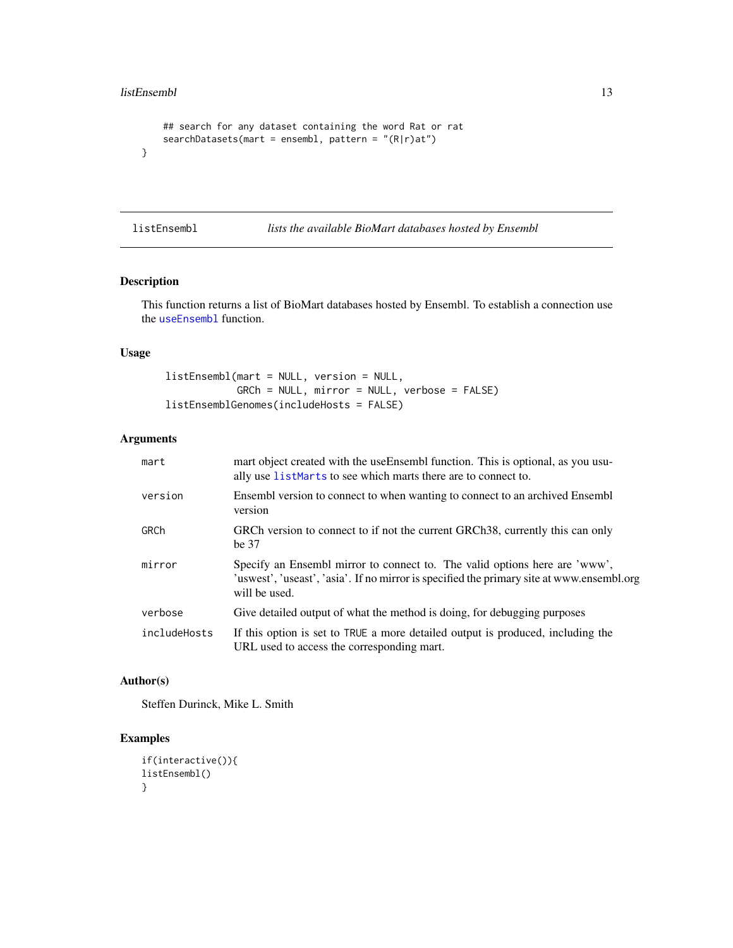```
## search for any dataset containing the word Rat or rat
   searchDatasets(mart = ensembl, pattern = "(R|r)at")
}
```
<span id="page-12-1"></span>listEnsembl *lists the available BioMart databases hosted by Ensembl*

#### <span id="page-12-2"></span>Description

This function returns a list of BioMart databases hosted by Ensembl. To establish a connection use the [useEnsembl](#page-20-1) function.

# Usage

```
listEnsembl(mart = NULL, version = NULL,
            GRCh = NULL, mirror = NULL, verbose = FALSE)
listEnsemblGenomes(includeHosts = FALSE)
```
# Arguments

| mart         | mart object created with the useEnsembl function. This is optional, as you usu-<br>ally use listMarts to see which marts there are to connect to.                                        |
|--------------|------------------------------------------------------------------------------------------------------------------------------------------------------------------------------------------|
| version      | Ensembl version to connect to when wanting to connect to an archived Ensembl<br>version                                                                                                  |
| GRCh         | GRCh version to connect to if not the current GRCh38, currently this can only<br>be 37                                                                                                   |
| mirror       | Specify an Ensembl mirror to connect to. The valid options here are 'www',<br>'uswest', 'useast', 'asia'. If no mirror is specified the primary site at www.ensembl.org<br>will be used. |
| verbose      | Give detailed output of what the method is doing, for debugging purposes                                                                                                                 |
| includeHosts | If this option is set to TRUE a more detailed output is produced, including the<br>URL used to access the corresponding mart.                                                            |

# Author(s)

Steffen Durinck, Mike L. Smith

```
if(interactive()){
listEnsembl()
}
```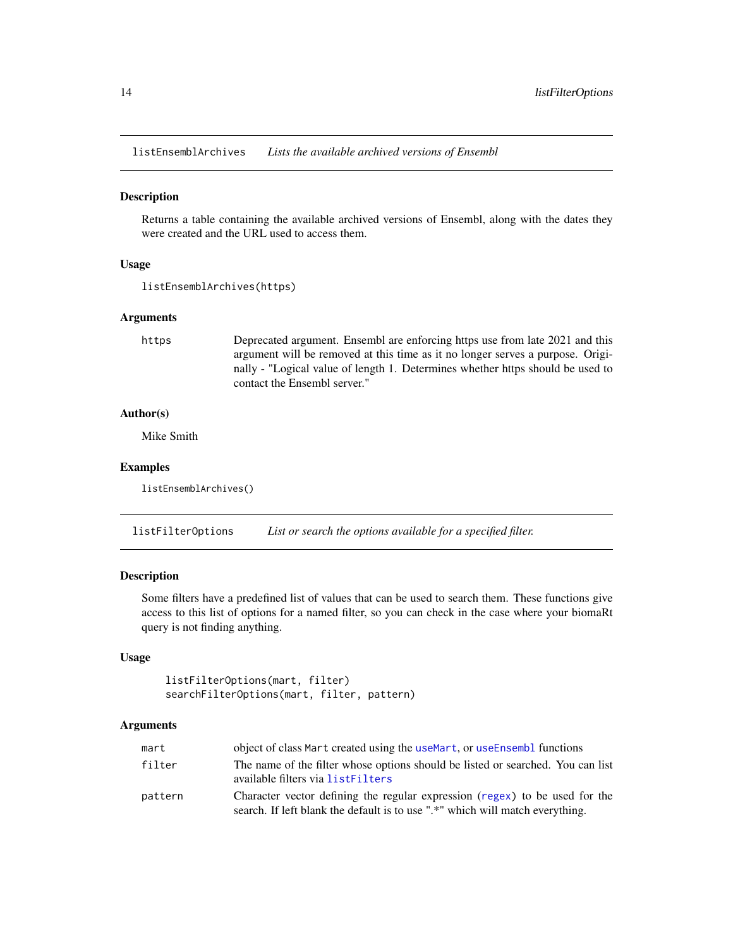<span id="page-13-3"></span><span id="page-13-0"></span>listEnsemblArchives *Lists the available archived versions of Ensembl*

# Description

Returns a table containing the available archived versions of Ensembl, along with the dates they were created and the URL used to access them.

# Usage

```
listEnsemblArchives(https)
```
#### Arguments

https Deprecated argument. Ensembl are enforcing https use from late 2021 and this argument will be removed at this time as it no longer serves a purpose. Originally - "Logical value of length 1. Determines whether https should be used to contact the Ensembl server."

# Author(s)

Mike Smith

#### Examples

listEnsemblArchives()

<span id="page-13-1"></span>listFilterOptions *List or search the options available for a specified filter.*

# <span id="page-13-2"></span>Description

Some filters have a predefined list of values that can be used to search them. These functions give access to this list of options for a named filter, so you can check in the case where your biomaRt query is not finding anything.

# Usage

```
listFilterOptions(mart, filter)
searchFilterOptions(mart, filter, pattern)
```

| mart    | object of class Mart created using the useMart, or useEnsembl functions                                                                                      |
|---------|--------------------------------------------------------------------------------------------------------------------------------------------------------------|
| filter  | The name of the filter whose options should be listed or searched. You can list<br>available filters via listFilters                                         |
| pattern | Character vector defining the regular expression (regex) to be used for the<br>search. If left blank the default is to use ".*" which will match everything. |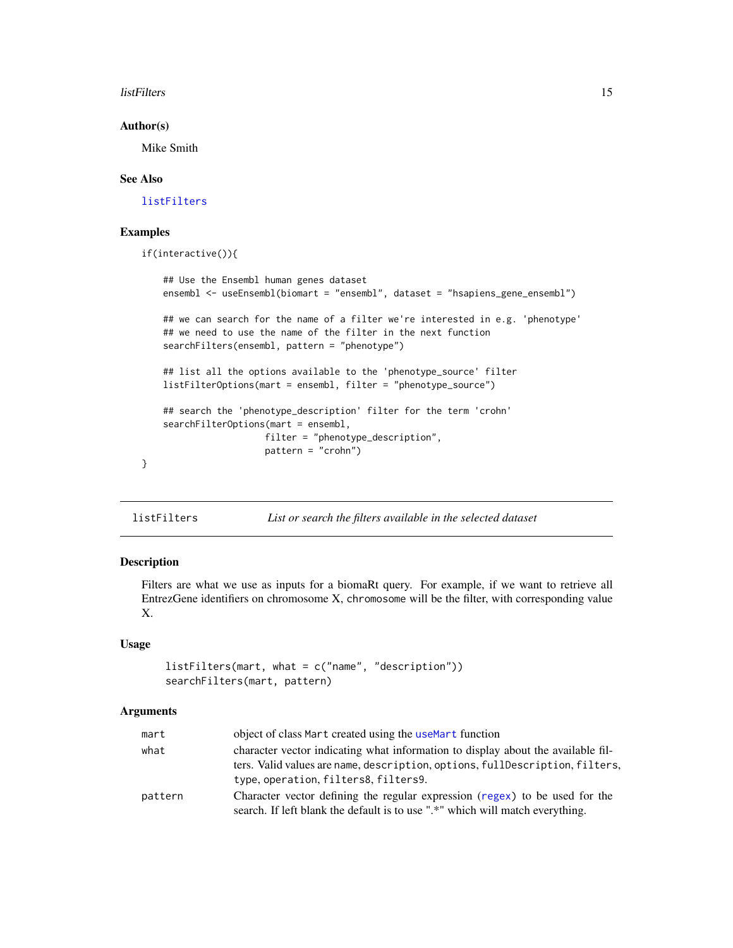#### <span id="page-14-0"></span>listFilters 15

#### Author(s)

Mike Smith

#### See Also

[listFilters](#page-14-1)

# Examples

```
if(interactive()){
```

```
## Use the Ensembl human genes dataset
ensembl <- useEnsembl(biomart = "ensembl", dataset = "hsapiens_gene_ensembl")
## we can search for the name of a filter we're interested in e.g. 'phenotype'
## we need to use the name of the filter in the next function
searchFilters(ensembl, pattern = "phenotype")
## list all the options available to the 'phenotype_source' filter
listFilterOptions(mart = ensembl, filter = "phenotype_source")
## search the 'phenotype_description' filter for the term 'crohn'
searchFilterOptions(mart = ensembl,
                   filter = "phenotype_description",
                   pattern = "crohn")
```
<span id="page-14-1"></span>

| listFilters | List or search the filters available in the selected dataset |
|-------------|--------------------------------------------------------------|
|-------------|--------------------------------------------------------------|

# Description

}

Filters are what we use as inputs for a biomaRt query. For example, if we want to retrieve all EntrezGene identifiers on chromosome X, chromosome will be the filter, with corresponding value X.

# Usage

```
listFilters(mart, what = c("name", "description"))
searchFilters(mart, pattern)
```

| mart    | object of class Mart created using the useMart function                                                                                                      |
|---------|--------------------------------------------------------------------------------------------------------------------------------------------------------------|
| what    | character vector indicating what information to display about the available fil-                                                                             |
|         | ters. Valid values are name, description, options, fullDescription, filters,<br>type, operation, filters8, filters9.                                         |
| pattern | Character vector defining the regular expression (regex) to be used for the<br>search. If left blank the default is to use ".*" which will match everything. |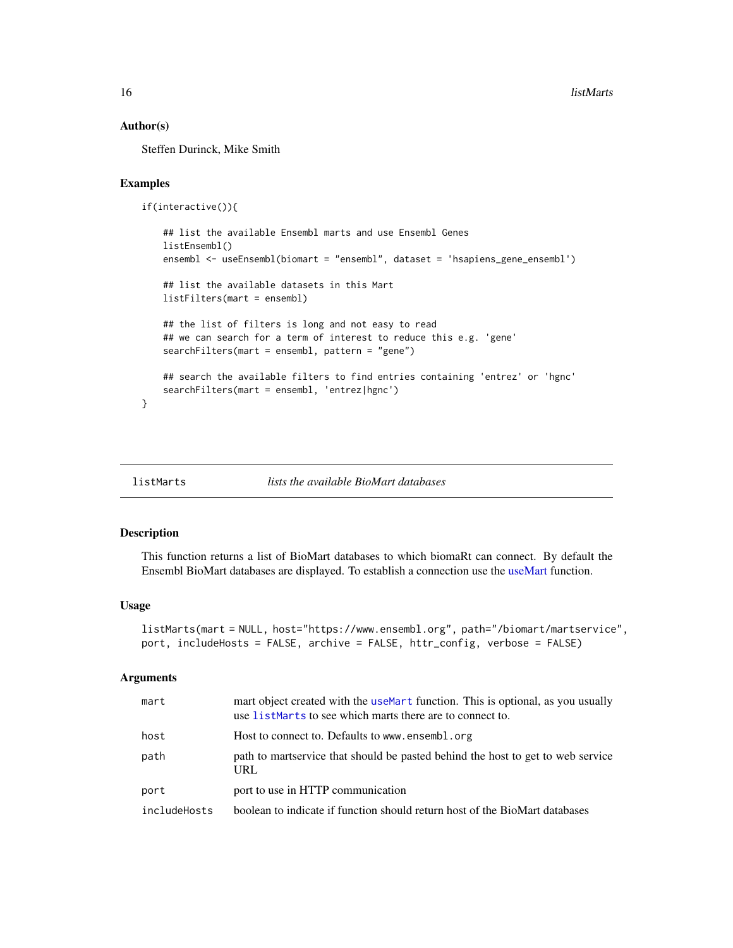#### <span id="page-15-0"></span>Author(s)

Steffen Durinck, Mike Smith

# Examples

```
if(interactive()){
```

```
## list the available Ensembl marts and use Ensembl Genes
listEnsembl()
ensembl <- useEnsembl(biomart = "ensembl", dataset = 'hsapiens_gene_ensembl')
## list the available datasets in this Mart
listFilters(mart = ensembl)
## the list of filters is long and not easy to read
## we can search for a term of interest to reduce this e.g. 'gene'
searchFilters(mart = ensembl, pattern = "gene")
## search the available filters to find entries containing 'entrez' or 'hgnc'
searchFilters(mart = ensembl, 'entrez|hgnc')
```
<span id="page-15-1"></span>listMarts *lists the available BioMart databases*

#### Description

}

This function returns a list of BioMart databases to which biomaRt can connect. By default the Ensembl BioMart databases are displayed. To establish a connection use the [useMart](#page-21-1) function.

#### Usage

```
listMarts(mart = NULL, host="https://www.ensembl.org", path="/biomart/martservice",
port, includeHosts = FALSE, archive = FALSE, httr_config, verbose = FALSE)
```

| mart         | mart object created with the useMart function. This is optional, as you usually<br>use listMarts to see which marts there are to connect to. |
|--------------|----------------------------------------------------------------------------------------------------------------------------------------------|
| host         | Host to connect to. Defaults to www.ensembl.org                                                                                              |
| path         | path to martservice that should be pasted behind the host to get to web service<br>URL                                                       |
| port         | port to use in HTTP communication                                                                                                            |
| includeHosts | boolean to indicate if function should return host of the BioMart databases                                                                  |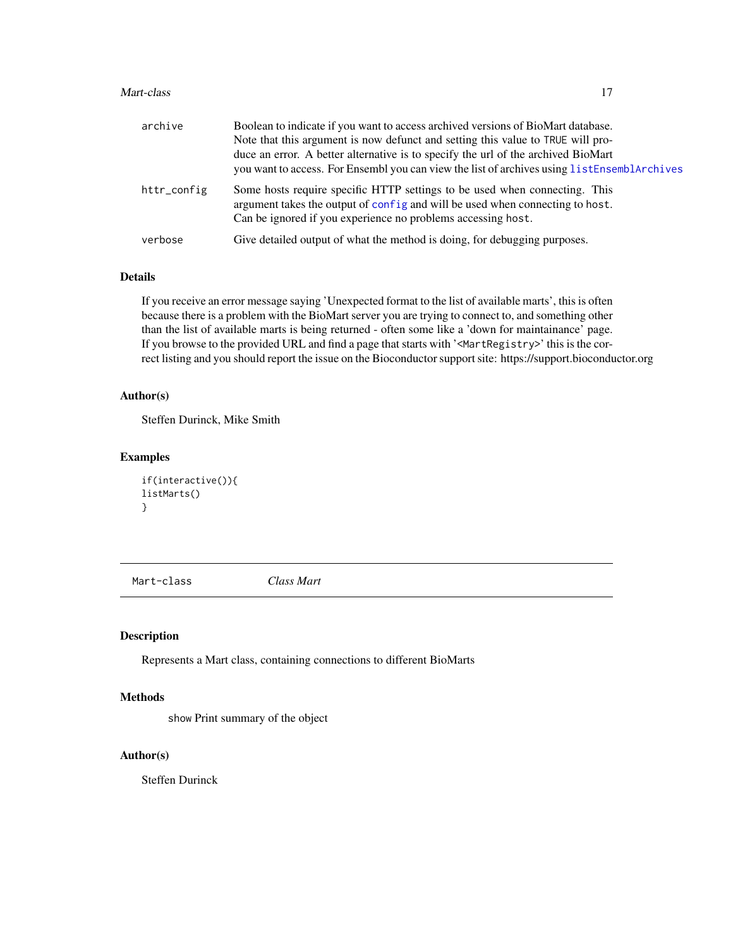#### <span id="page-16-0"></span>Mart-class 17

| archive     | Boolean to indicate if you want to access archived versions of BioMart database.<br>Note that this argument is now defunct and setting this value to TRUE will pro-<br>duce an error. A better alternative is to specify the url of the archived BioMart<br>you want to access. For Ensembl you can view the list of archives using listEnsemblArchives |
|-------------|---------------------------------------------------------------------------------------------------------------------------------------------------------------------------------------------------------------------------------------------------------------------------------------------------------------------------------------------------------|
| httr_config | Some hosts require specific HTTP settings to be used when connecting. This<br>argument takes the output of config and will be used when connecting to host.<br>Can be ignored if you experience no problems accessing host.                                                                                                                             |
| verbose     | Give detailed output of what the method is doing, for debugging purposes.                                                                                                                                                                                                                                                                               |

# Details

If you receive an error message saying 'Unexpected format to the list of available marts', this is often because there is a problem with the BioMart server you are trying to connect to, and something other than the list of available marts is being returned - often some like a 'down for maintainance' page. If you browse to the provided URL and find a page that starts with '<MartRegistry>' this is the correct listing and you should report the issue on the Bioconductor support site: https://support.bioconductor.org

# Author(s)

Steffen Durinck, Mike Smith

### Examples

```
if(interactive()){
listMarts()
}
```
Mart-class *Class Mart*

Description

Represents a Mart class, containing connections to different BioMarts

#### Methods

show Print summary of the object

#### Author(s)

Steffen Durinck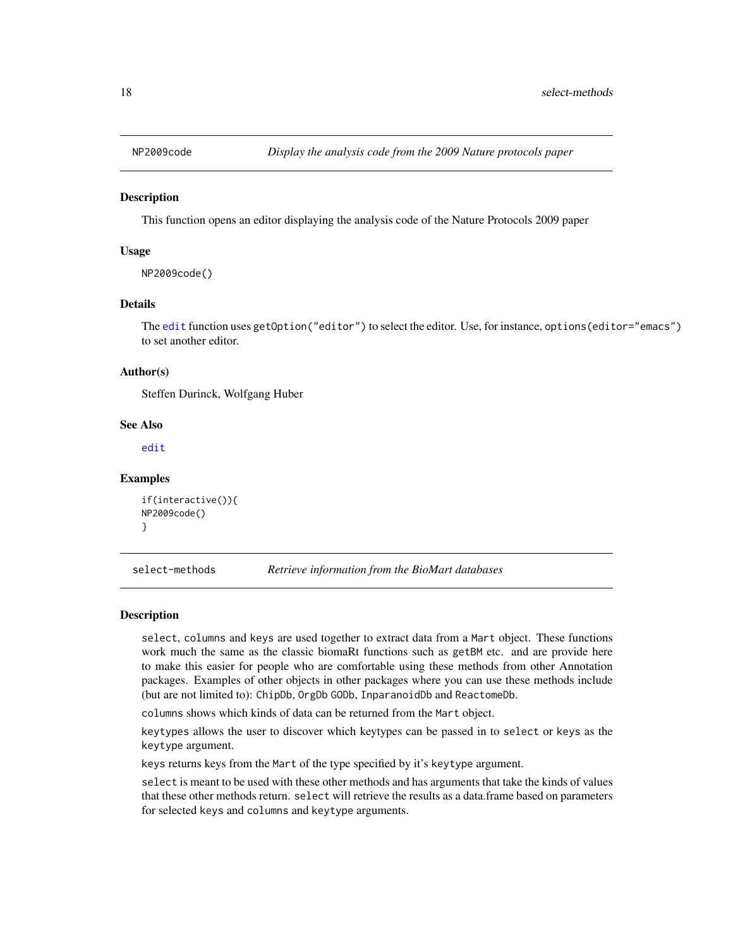<span id="page-17-0"></span>

#### Description

This function opens an editor displaying the analysis code of the Nature Protocols 2009 paper

# Usage

NP2009code()

# Details

The [edit](#page-0-0) function uses getOption("editor") to select the editor. Use, for instance, options(editor="emacs") to set another editor.

#### Author(s)

Steffen Durinck, Wolfgang Huber

#### See Also

[edit](#page-0-0)

#### Examples

```
if(interactive()){
NP2009code()
}
```
select-methods *Retrieve information from the BioMart databases*

#### Description

select, columns and keys are used together to extract data from a Mart object. These functions work much the same as the classic biomaRt functions such as getBM etc. and are provide here to make this easier for people who are comfortable using these methods from other Annotation packages. Examples of other objects in other packages where you can use these methods include (but are not limited to): ChipDb, OrgDb GODb, InparanoidDb and ReactomeDb.

columns shows which kinds of data can be returned from the Mart object.

keytypes allows the user to discover which keytypes can be passed in to select or keys as the keytype argument.

keys returns keys from the Mart of the type specified by it's keytype argument.

select is meant to be used with these other methods and has arguments that take the kinds of values that these other methods return. select will retrieve the results as a data.frame based on parameters for selected keys and columns and keytype arguments.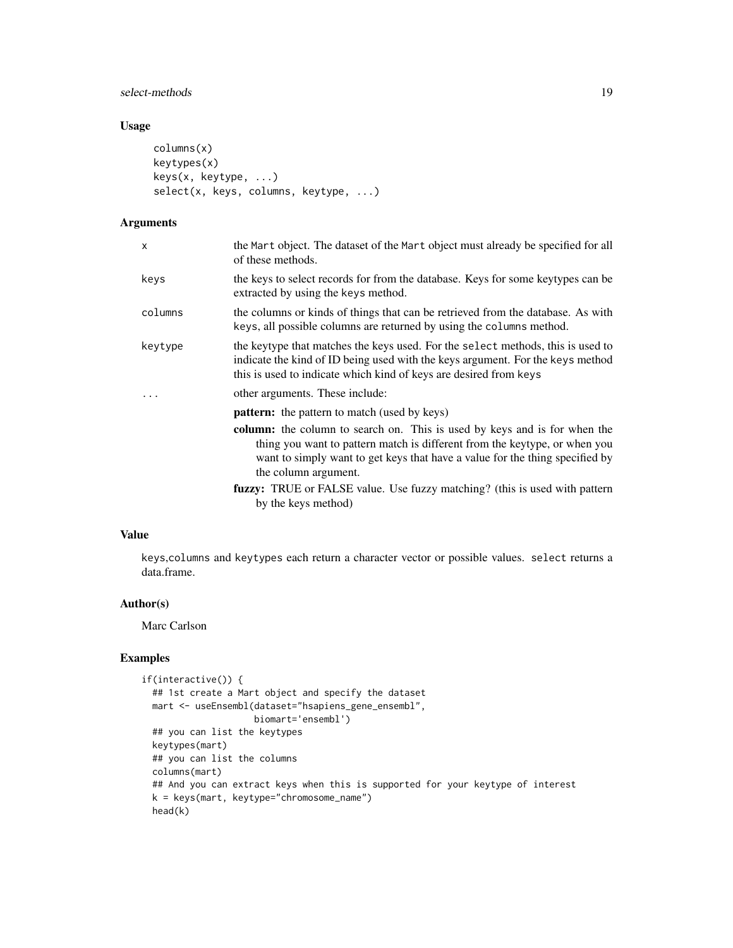# select-methods 19

# Usage

```
columns(x)
keytypes(x)
keys(x, keytype, ...)
select(x, keys, columns, keytype, ...)
```
# Arguments

| x         | the Mart object. The dataset of the Mart object must already be specified for all<br>of these methods.                                                                                                                                                          |
|-----------|-----------------------------------------------------------------------------------------------------------------------------------------------------------------------------------------------------------------------------------------------------------------|
| keys      | the keys to select records for from the database. Keys for some keytypes can be<br>extracted by using the keys method.                                                                                                                                          |
| columns   | the columns or kinds of things that can be retrieved from the database. As with<br>keys, all possible columns are returned by using the columns method.                                                                                                         |
| keytype   | the keytype that matches the keys used. For the select methods, this is used to<br>indicate the kind of ID being used with the keys argument. For the keys method<br>this is used to indicate which kind of keys are desired from keys                          |
| $\ddotsc$ | other arguments. These include:                                                                                                                                                                                                                                 |
|           | <b>pattern:</b> the pattern to match (used by keys)                                                                                                                                                                                                             |
|           | column: the column to search on. This is used by keys and is for when the<br>thing you want to pattern match is different from the keytype, or when you<br>want to simply want to get keys that have a value for the thing specified by<br>the column argument. |
|           | fuzzy: TRUE or FALSE value. Use fuzzy matching? (this is used with pattern<br>by the keys method)                                                                                                                                                               |
|           |                                                                                                                                                                                                                                                                 |

# Value

keys,columns and keytypes each return a character vector or possible values. select returns a data.frame.

# Author(s)

Marc Carlson

```
if(interactive()) {
 ## 1st create a Mart object and specify the dataset
 mart <- useEnsembl(dataset="hsapiens_gene_ensembl",
                    biomart='ensembl')
 ## you can list the keytypes
 keytypes(mart)
 ## you can list the columns
 columns(mart)
 ## And you can extract keys when this is supported for your keytype of interest
 k = keys(mart, keytype="chromosome_name")
 head(k)
```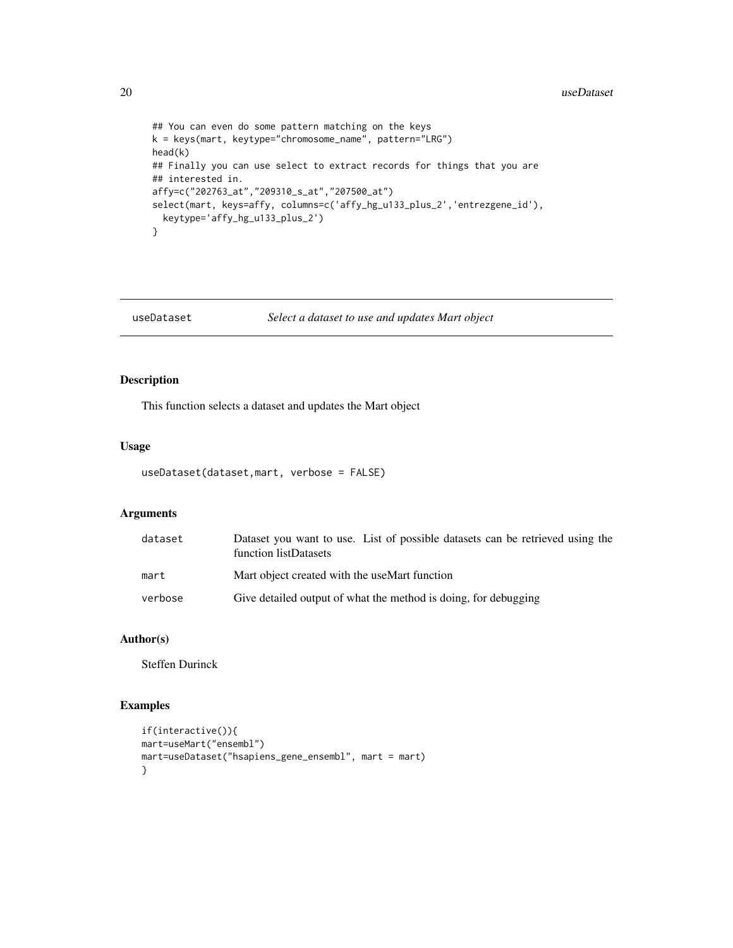```
## You can even do some pattern matching on the keys
k = keys(mart, keytype="chromosome_name", pattern="LRG")
head(k)
## Finally you can use select to extract records for things that you are
## interested in.
affy=c("202763_at","209310_s_at","207500_at")
select(mart, keys=affy, columns=c('affy_hg_u133_plus_2','entrezgene_id'),
 keytype='affy_hg_u133_plus_2')
}
```
# useDataset *Select a dataset to use and updates Mart object*

# Description

This function selects a dataset and updates the Mart object

#### Usage

```
useDataset(dataset,mart, verbose = FALSE)
```
# Arguments

| dataset | Dataset you want to use. List of possible datasets can be retrieved using the<br>function listDatasets |
|---------|--------------------------------------------------------------------------------------------------------|
| mart    | Mart object created with the useMart function                                                          |
| verbose | Give detailed output of what the method is doing, for debugging                                        |

# Author(s)

Steffen Durinck

```
if(interactive()){
mart=useMart("ensembl")
mart=useDataset("hsapiens_gene_ensembl", mart = mart)
}
```
<span id="page-19-0"></span>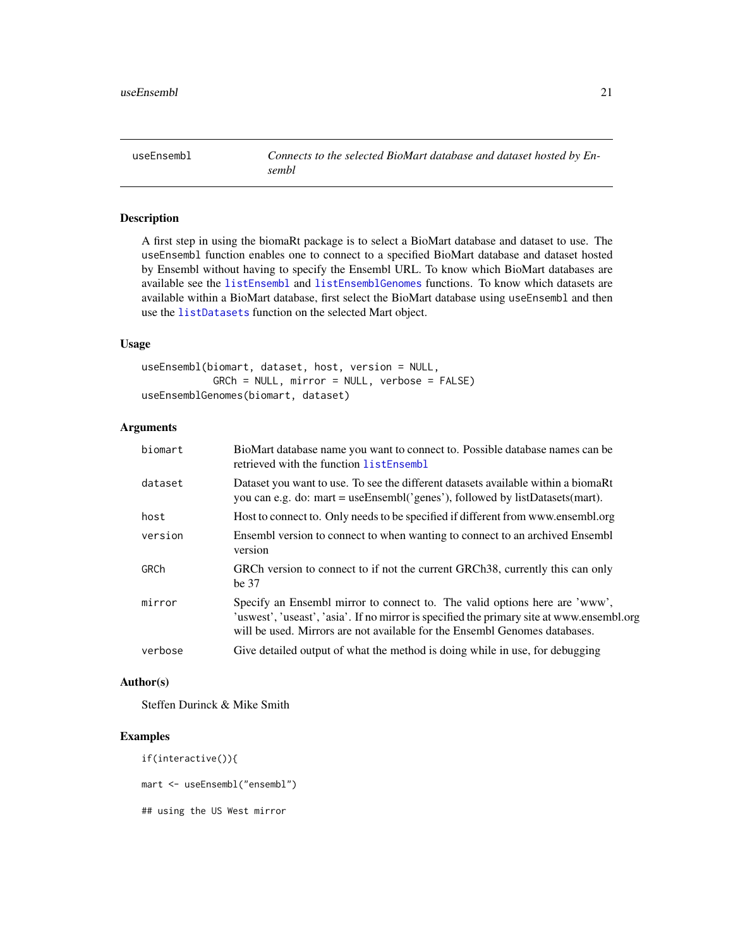<span id="page-20-1"></span><span id="page-20-0"></span>useEnsembl *Connects to the selected BioMart database and dataset hosted by Ensembl*

# Description

A first step in using the biomaRt package is to select a BioMart database and dataset to use. The useEnsembl function enables one to connect to a specified BioMart database and dataset hosted by Ensembl without having to specify the Ensembl URL. To know which BioMart databases are available see the [listEnsembl](#page-12-1) and [listEnsemblGenomes](#page-12-2) functions. To know which datasets are available within a BioMart database, first select the BioMart database using useEnsembl and then use the [listDatasets](#page-11-1) function on the selected Mart object.

#### Usage

```
useEnsembl(biomart, dataset, host, version = NULL,
            GRCh = NULL, mirror = NULL, verbose = FALSE)
useEnsemblGenomes(biomart, dataset)
```
# Arguments

| biomart | BioMart database name you want to connect to. Possible database names can be<br>retrieved with the function listEnsembl                                                                                                                               |
|---------|-------------------------------------------------------------------------------------------------------------------------------------------------------------------------------------------------------------------------------------------------------|
| dataset | Dataset you want to use. To see the different datasets available within a biomaRt<br>you can e.g. do: mart = useEnsembl('genes'), followed by listDatasets(mart).                                                                                     |
| host    | Host to connect to. Only needs to be specified if different from www.ensembl.org                                                                                                                                                                      |
| version | Ensembl version to connect to when wanting to connect to an archived Ensembl<br>version                                                                                                                                                               |
| GRCh    | GRCh version to connect to if not the current GRCh38, currently this can only<br>be 37                                                                                                                                                                |
| mirror  | Specify an Ensembl mirror to connect to. The valid options here are 'www',<br>'uswest', 'useast', 'asia'. If no mirror is specified the primary site at www.ensembl.org<br>will be used. Mirrors are not available for the Ensembl Genomes databases. |
| verbose | Give detailed output of what the method is doing while in use, for debugging                                                                                                                                                                          |
|         |                                                                                                                                                                                                                                                       |

#### Author(s)

Steffen Durinck & Mike Smith

# Examples

if(interactive()){

mart <- useEnsembl("ensembl")

## using the US West mirror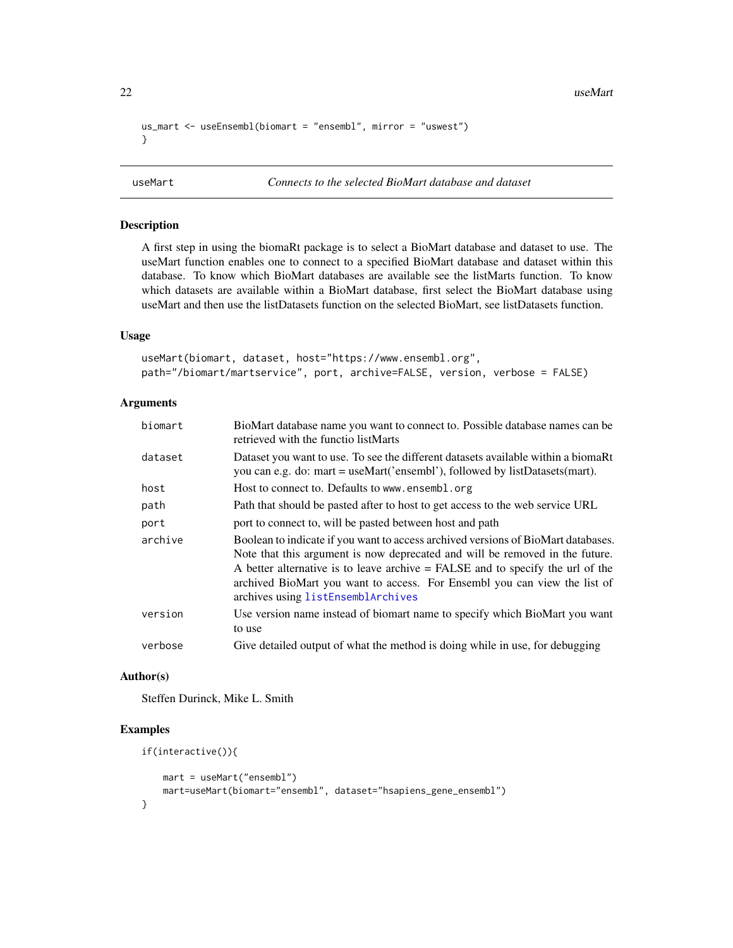```
us_mart <- useEnsembl(biomart = "ensembl", mirror = "uswest")
}
```
# Description

A first step in using the biomaRt package is to select a BioMart database and dataset to use. The useMart function enables one to connect to a specified BioMart database and dataset within this database. To know which BioMart databases are available see the listMarts function. To know which datasets are available within a BioMart database, first select the BioMart database using useMart and then use the listDatasets function on the selected BioMart, see listDatasets function.

#### Usage

```
useMart(biomart, dataset, host="https://www.ensembl.org",
path="/biomart/martservice", port, archive=FALSE, version, verbose = FALSE)
```
#### **Arguments**

| biomart | BioMart database name you want to connect to. Possible database names can be<br>retrieved with the functio listMarts                                                                                                                                                                                                                                                     |
|---------|--------------------------------------------------------------------------------------------------------------------------------------------------------------------------------------------------------------------------------------------------------------------------------------------------------------------------------------------------------------------------|
| dataset | Dataset you want to use. To see the different datasets available within a biomaRt<br>you can e.g. do: mart = useMart('ensembl'), followed by listDatasets(mart).                                                                                                                                                                                                         |
| host    | Host to connect to. Defaults to www.ensembl.org                                                                                                                                                                                                                                                                                                                          |
| path    | Path that should be pasted after to host to get access to the web service URL                                                                                                                                                                                                                                                                                            |
| port    | port to connect to, will be pasted between host and path                                                                                                                                                                                                                                                                                                                 |
| archive | Boolean to indicate if you want to access archived versions of BioMart databases.<br>Note that this argument is now deprecated and will be removed in the future.<br>A better alternative is to leave archive $=$ FALSE and to specify the url of the<br>archived BioMart you want to access. For Ensembl you can view the list of<br>archives using listEnsemblArchives |
| version | Use version name instead of biomart name to specify which BioMart you want<br>to use                                                                                                                                                                                                                                                                                     |
| verbose | Give detailed output of what the method is doing while in use, for debugging                                                                                                                                                                                                                                                                                             |

#### Author(s)

Steffen Durinck, Mike L. Smith

```
if(interactive()){
   mart = useMart("ensembl")
   mart=useMart(biomart="ensembl", dataset="hsapiens_gene_ensembl")
}
```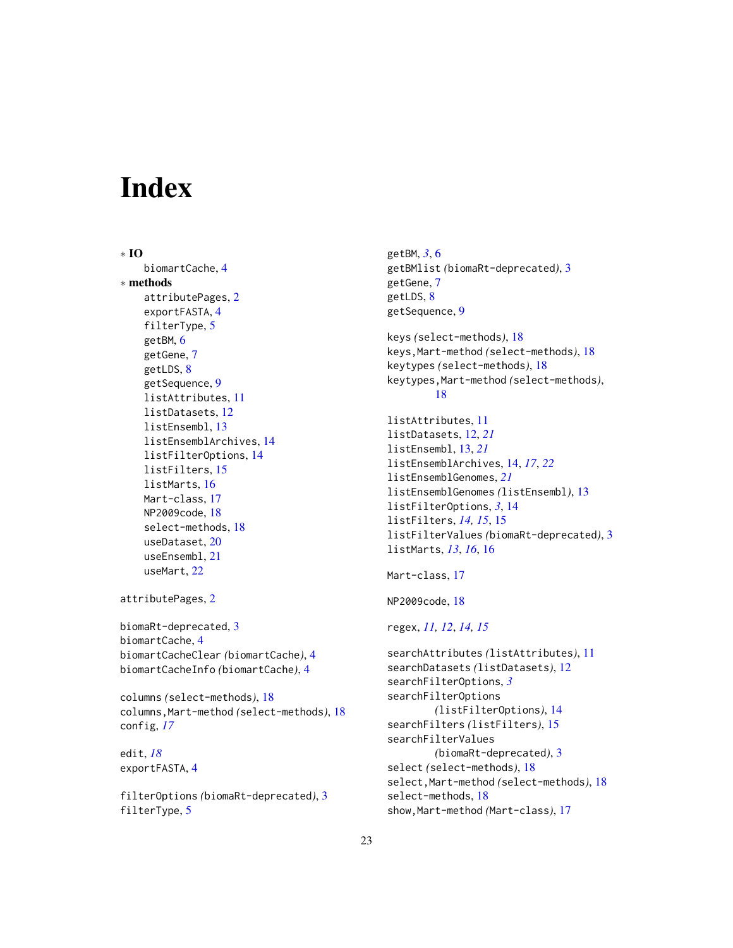# <span id="page-22-0"></span>**Index**

∗ IO biomartCache, [4](#page-3-0) ∗ methods attributePages, [2](#page-1-0) exportFASTA, [4](#page-3-0) filterType, [5](#page-4-0) getBM, [6](#page-5-0) getGene, [7](#page-6-0) getLDS, [8](#page-7-0) getSequence, [9](#page-8-0) listAttributes, [11](#page-10-0) listDatasets, [12](#page-11-0) listEnsembl, [13](#page-12-0) listEnsemblArchives, [14](#page-13-0) listFilterOptions, [14](#page-13-0) listFilters, [15](#page-14-0) listMarts, [16](#page-15-0) Mart-class, [17](#page-16-0) NP2009code, [18](#page-17-0) select-methods, [18](#page-17-0) useDataset, [20](#page-19-0) useEnsembl, [21](#page-20-0) useMart, [22](#page-21-0) attributePages, [2](#page-1-0) biomaRt-deprecated, [3](#page-2-0) biomartCache, [4](#page-3-0) biomartCacheClear *(*biomartCache*)*, [4](#page-3-0) biomartCacheInfo *(*biomartCache*)*, [4](#page-3-0) columns *(*select-methods*)*, [18](#page-17-0) columns,Mart-method *(*select-methods*)*, [18](#page-17-0) config, *[17](#page-16-0)* edit, *[18](#page-17-0)* exportFASTA, [4](#page-3-0)

filterOptions *(*biomaRt-deprecated*)*, [3](#page-2-0) filterType, [5](#page-4-0)

getBM, *[3](#page-2-0)*, [6](#page-5-0) getBMlist *(*biomaRt-deprecated*)*, [3](#page-2-0) getGene, [7](#page-6-0) getLDS, [8](#page-7-0) getSequence, [9](#page-8-0)

keys *(*select-methods*)*, [18](#page-17-0) keys,Mart-method *(*select-methods*)*, [18](#page-17-0) keytypes *(*select-methods*)*, [18](#page-17-0) keytypes,Mart-method *(*select-methods*)*, [18](#page-17-0)

```
listAttributes, 11
listDatasets, 12, 21
listEnsembl, 13, 21
listEnsemblArchives, 14, 17, 22
listEnsemblGenomes, 21
listEnsemblGenomes (listEnsembl), 13
listFilterOptions, 3, 14
listFilters, 14, 15, 15
listFilterValues (biomaRt-deprecated), 3
listMarts, 13, 16, 16
```

```
17
```

```
NP2009code, 18
```
regex, *[11,](#page-10-0) [12](#page-11-0)*, *[14,](#page-13-0) [15](#page-14-0)*

```
searchAttributes (listAttributes), 11
searchDatasets (listDatasets), 12
searchFilterOptions, 3
searchFilterOptions
        (listFilterOptions), 14
searchFilters (listFilters), 15
searchFilterValues
        (biomaRt-deprecated), 3
select (select-methods), 18
select,Mart-method (select-methods), 18
select-methods, 18
show,Mart-method (Mart-class), 17
```